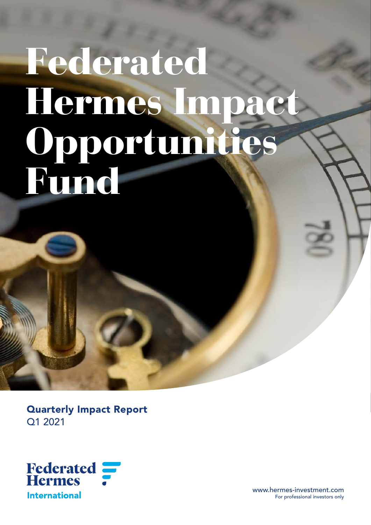# Federated Hermes Impact Opportunities **Fund**

Quarterly Impact Report Q1 2021



www.hermes-investment.com<br>For professional investors only For professional investors only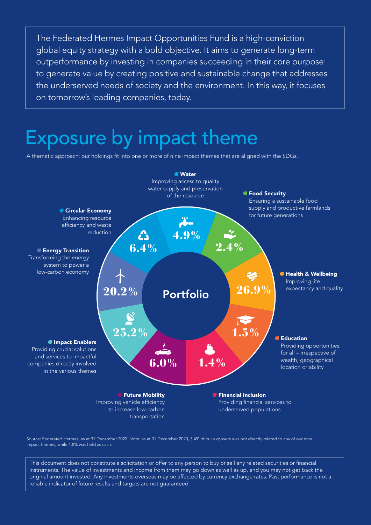The Federated Hermes Impact Opportunities Fund is a high-conviction global equity strategy with a bold objective. It aims to generate long-term outperformance by investing in companies succeeding in their core purpose: to generate value by creating positive and sustainable change that addresses the underserved needs of society and the environment. In this way, it focuses on tomorrow's leading companies, today.

# Exposure by impact theme

A thematic approach: our holdings fit into one or more of nine impact themes that are aligned with the SDGs.



Source: Federated Hermes, as at 31 December 2020. Note: as at 31 December 2020, 3.4% of our exposure was not directly related to any of our nine impact themes, while 1.8% was held as cash.

This document does not constitute a solicitation or offer to any person to buy or sell any related securities or financial instruments. The value of investments and income from them may go down as well as up, and you may not get back the original amount invested. Any investments overseas may be affected by currency exchange rates. Past performance is not a reliable indicator of future results and targets are not guaranteed.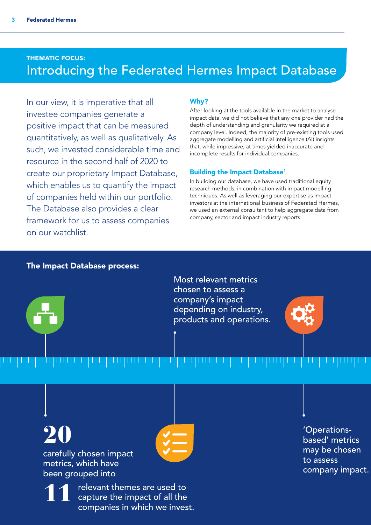# THEMATIC FOCUS: Introducing the Federated Hermes Impact Database

In our view, it is imperative that all investee companies generate a positive impact that can be measured quantitatively, as well as qualitatively. As such, we invested considerable time and resource in the second half of 2020 to create our proprietary Impact Database, which enables us to quantify the impact of companies held within our portfolio. The Database also provides a clear framework for us to assess companies on our watchlist.

# Why?

After looking at the tools available in the market to analyse impact data, we did not believe that any one provider had the depth of understanding and granularity we required at a company level. Indeed, the majority of pre-existing tools used aggregate modelling and artificial intelligence (AI) insights that, while impressive, at times yielded inaccurate and incomplete results for individual companies.

# Building the Impact Database<sup>1</sup>

In building our database, we have used traditional equity research methods, in combination with impact modelling techniques. As well as leveraging our expertise as impact investors at the international business of Federated Hermes, we used an external consultant to help aggregate data from company, sector and impact industry reports.

# The Impact Database process:

Most relevant metrics chosen to assess a company's impact depending on industry, products and operations.

![](_page_2_Picture_10.jpeg)

20 carefully chosen impact metrics, which have

been grouped into

11 relevant themes are used to<br>capture the impact of all the companies in which we invest.

'Operationsbased' metrics may be chosen to assess company impact.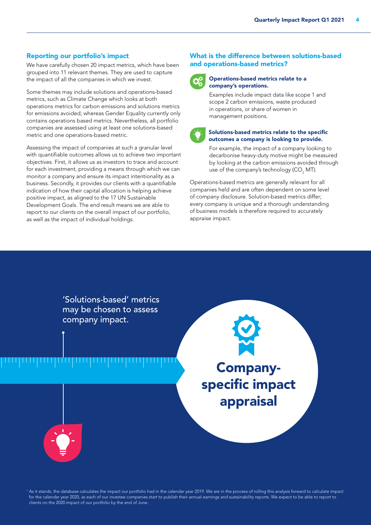### Reporting our portfolio's impact

We have carefully chosen 20 impact metrics, which have been grouped into 11 relevant themes. They are used to capture the impact of all the companies in which we invest.

Some themes may include solutions and operations-based metrics, such as Climate Change which looks at both operations metrics for carbon emissions and solutions metrics for emissions avoided; whereas Gender Equality currently only contains operations based metrics. Nevertheless, all portfolio companies are assessed using at least one solutions-based metric and one operations-based metric.

Assessing the impact of companies at such a granular level with quantifiable outcomes allows us to achieve two important objectives. First, it allows us as investors to trace and account for each investment, providing a means through which we can monitor a company and ensure its impact intentionality as a business. Secondly, it provides our clients with a quantifiable indication of how their capital allocation is helping achieve positive impact, as aligned to the 17 UN Sustainable Development Goals. The end result means we are able to report to our clients on the overall impact of our portfolio, as well as the impact of individual holdings.

# What is the difference between solutions-based and operations-based metrics?

![](_page_3_Picture_6.jpeg)

### Operations-based metrics relate to a company's operations.

Examples include impact data like scope 1 and scope 2 carbon emissions, waste produced in operations, or share of women in management positions.

![](_page_3_Picture_9.jpeg)

#### Solutions-based metrics relate to the specific outcomes a company is looking to provide.

For example, the impact of a company looking to decarbonise heavy-duty motive might be measured by looking at the carbon emissions avoided through use of the company's technology (CO<sub>2</sub> MT).

Operations-based metrics are generally relevant for all companies held and are often dependent on some level of company disclosure. Solution-based metrics differ; every company is unique and a thorough understanding of business models is therefore required to accurately appraise impact.

'Solutions-based' metrics may be chosen to assess company impact.

Companyspecific impact appraisal

![](_page_3_Picture_16.jpeg)

<sup>1</sup> As it stands, the database calculates the impact our portfolio had in the calendar year 2019. We are in the process of rolling this analysis forward to calculate impact for the calendar year 2020, as each of our investee companies start to publish their annual earnings and sustainability reports. We expect to be able to report to clients on the 2020 impact of our portfolio by the end of June.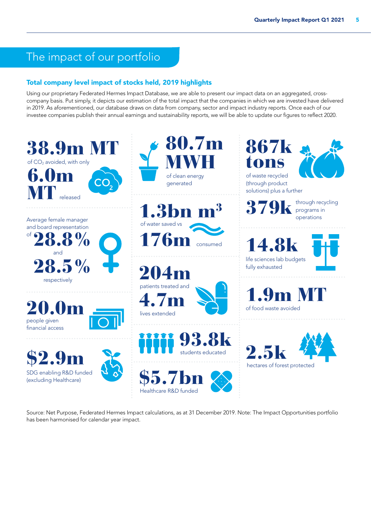# The impact of our portfolio

# Total company level impact of stocks held, 2019 highlights

Using our proprietary Federated Hermes Impact Database, we are able to present our impact data on an aggregated, crosscompany basis. Put simply, it depicts our estimation of the total impact that the companies in which we are invested have delivered in 2019. As aforementioned, our database draws on data from company, sector and impact industry reports. Once each of our investee companies publish their annual earnings and sustainability reports, we will be able to update our figures to reflect 2020.

![](_page_4_Picture_4.jpeg)

Source: Net Purpose, Federated Hermes Impact calculations, as at 31 December 2019. Note: The Impact Opportunities portfolio has been harmonised for calendar year impact.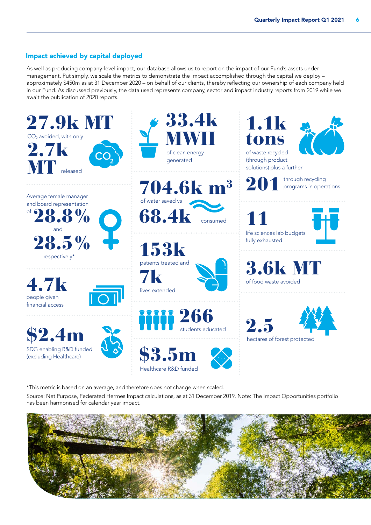# Impact achieved by capital deployed

As well as producing company-level impact, our database allows us to report on the impact of our Fund's assets under management. Put simply, we scale the metrics to demonstrate the impact accomplished through the capital we deploy – approximately \$450m as at 31 December 2020 – on behalf of our clients, thereby reflecting our ownership of each company held in our Fund. As discussed previously, the data used represents company, sector and impact industry reports from 2019 while we await the publication of 2020 reports.

![](_page_5_Picture_3.jpeg)

\*This metric is based on an average, and therefore does not change when scaled. Source: Net Purpose, Federated Hermes Impact calculations, as at 31 December 2019. Note: The Impact Opportunities portfolio has been harmonised for calendar year impact.

![](_page_5_Picture_5.jpeg)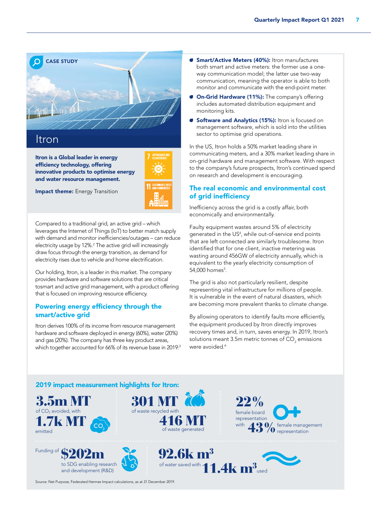![](_page_6_Picture_1.jpeg)

Itron is a Global leader in energy efficiency technology, offering innovative products to optimise energy and water resource management.

![](_page_6_Figure_3.jpeg)

**Impact theme:** Energy Transition

Compared to a traditional grid, an active grid – which leverages the Internet of Things (IoT) to better match supply with demand and monitor inefficiencies/outages – can reduce electricity usage by 12%.<sup>2</sup> The active grid will increasingly draw focus through the energy transition, as demand for electricity rises due to vehicle and home electrification.

Our holding, Itron, is a leader in this market. The company provides hardware and software solutions that are critical tosmart and active grid management, with a product offering that is focused on improving resource efficiency.

# Powering energy efficiency through the smart/active grid

Itron derives 100% of its income from resource management hardware and software deployed in energy (60%), water (20%) and gas (20%). The company has three key product areas, which together accounted for 66% of its revenue base in 2019:3

- **G Smart/Active Meters (40%):** Itron manufactures both smart and active meters: the former use a oneway communication model; the latter use two-way communication, meaning the operator is able to both monitor and communicate with the end-point meter.
- **On-Grid Hardware (11%):** The company's offering includes automated distribution equipment and monitoring kits.
- **G** Software and Analytics (15%): Itron is focused on management software, which is sold into the utilities sector to optimise grid operations.

In the US, Itron holds a 50% market leading share in communicating meters, and a 30% market leading share in on-grid hardware and management software. With respect to the company's future prospects, Itron's continued spend on research and development is encouraging.

# The real economic and environmental cost of grid inefficiency

Inefficiency across the grid is a costly affair, both economically and environmentally.

Faulty equipment wastes around 5% of electricity generated in the US<sup>4</sup>, while out-of-service end points that are left connected are similarly troublesome. Itron identified that for one client, inactive metering was wasting around 456GW of electricity annually, which is equivalent to the yearly electricity consumption of 54,000 homes<sup>5</sup>.

The grid is also not particularly resilient, despite representing vital infrastructure for millions of people. It is vulnerable in the event of natural disasters, which are becoming more prevalent thanks to climate change.

By allowing operators to identify faults more efficiently, the equipment produced by Itron directly improves recovery times and, in turn, saves energy. In 2019, Itron's solutions meant 3.5m metric tonnes of CO $_2$  emissions were avoided.<sup>6</sup>

![](_page_6_Picture_18.jpeg)

Source: Net Purpose, Federated Hermes Impact calculations, as at 31 December 2019.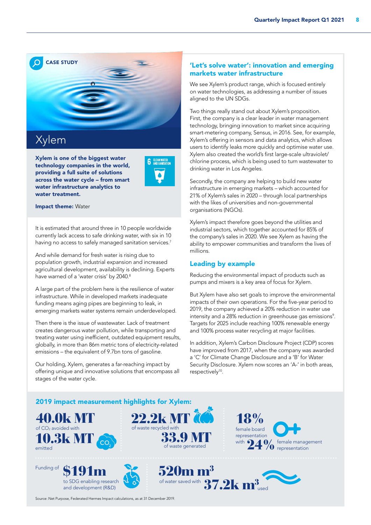![](_page_7_Picture_1.jpeg)

Xylem is one of the biggest water technology companies in the world, providing a full suite of solutions across the water cycle – from smart water infrastructure analytics to water treatment.

| <b>CLEAN WATER</b><br><b>AND SANITATION</b> |
|---------------------------------------------|
|                                             |
|                                             |

Impact theme: Water

It is estimated that around three in 10 people worldwide currently lack access to safe drinking water, with six in 10 having no access to safely managed sanitation services.<sup>7</sup>

And while demand for fresh water is rising due to population growth, industrial expansion and increased agricultural development, availability is declining. Experts have warned of a 'water crisis' by 2040.<sup>8</sup>

A large part of the problem here is the resilience of water infrastructure. While in developed markets inadequate funding means aging pipes are beginning to leak, in emerging markets water systems remain underdeveloped.

Then there is the issue of wastewater. Lack of treatment creates dangerous water pollution, while transporting and treating water using inefficient, outdated equipment results, globally, in more than 86m metric tons of electricity-related emissions – the equivalent of 9.7bn tons of gasoline.

Our holding, Xylem, generates a far-reaching impact by offering unique and innovative solutions that encompass all stages of the water cycle.

# 'Let's solve water': innovation and emerging markets water infrastructure

We see Xylem's product range, which is focused entirely on water technologies, as addressing a number of issues aligned to the UN SDGs.

Two things really stand out about Xylem's proposition. First, the company is a clear leader in water management technology, bringing innovation to market since acquiring smart-metering company, Sensus, in 2016. See, for example, Xylem's offering in sensors and data analytics, which allows users to identify leaks more quickly and optimise water use. Xylem also created the world's first large-scale ultraviolet/ chlorine process, which is being used to turn wastewater to drinking water in Los Angeles.

Secondly, the company are helping to build new water infrastructure in emerging markets – which accounted for 21% of Xylem's sales in 2020 – through local partnerships with the likes of universities and non-governmental organisations (NGOs).

Xylem's impact therefore goes beyond the utilities and industrial sectors, which together accounted for 85% of the company's sales in 2020. We see Xylem as having the ability to empower communities and transform the lives of millions.

# Leading by example

Reducing the environmental impact of products such as pumps and mixers is a key area of focus for Xylem.

But Xylem have also set goals to improve the environmental impacts of their own operations. For the five-year period to 2019, the company achieved a 20% reduction in water use intensity and a 28% reduction in greenhouse gas emissions<sup>9</sup>. Targets for 2025 include reaching 100% renewable energy and 100% process water recycling at major facilities.

In addition, Xylem's Carbon Disclosure Project (CDP) scores have improved from 2017, when the company was awarded a 'C' for Climate Change Disclosure and a 'B' for Water Security Disclosure. Xylem now scores an 'A-' in both areas, respectively<sup>10</sup>.

![](_page_7_Picture_19.jpeg)

Source: Net Purpose, Federated Hermes Impact calculations, as at 31 December 2019.

and development (R&D)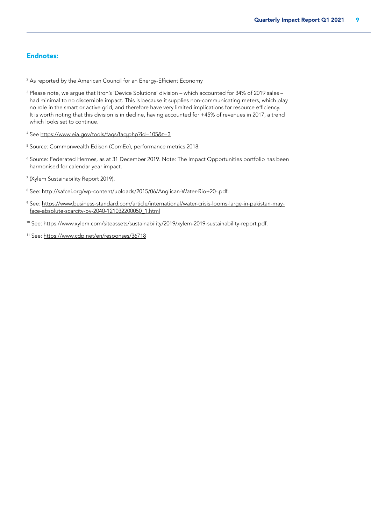# Endnotes:

 $^{\rm 2}$  As reported by the American Council for an Energy-Efficient Economy

- <sup>3</sup> Please note, we argue that Itron's 'Device Solutions' division which accounted for 34% of 2019 sales had minimal to no discernible impact. This is because it supplies non-communicating meters, which play no role in the smart or active grid, and therefore have very limited implications for resource efficiency. It is worth noting that this division is in decline, having accounted for +45% of revenues in 2017, a trend which looks set to continue.
- 4 See https://www.eia.gov/tools/faqs/faq.php?id=105&t=3
- 5 Source: Commonwealth Edison (ComEd), performance metrics 2018.
- <sup>6</sup> Source: Federated Hermes, as at 31 December 2019. Note: The Impact Opportunities portfolio has been harmonised for calendar year impact.
- 7 (Xylem Sustainability Report 2019).
- <sup>8</sup> See: <u>http://safcei.org/wp-content/uploads/2015/06/Anglican-Water-Rio+20-.pdf.</u>
- <sup>9</sup> See: [https://www.business-standard.com/article/international/water-crisis-looms-large-in-pakistan-may](https://www.business-standard.com/article/international/water-crisis-looms-large-in-pakistan-may-face-absolute-scarcity-by-2040-121032200050_1.html)[face-absolute-scarcity-by-2040-121032200050\\_1.html](https://www.business-standard.com/article/international/water-crisis-looms-large-in-pakistan-may-face-absolute-scarcity-by-2040-121032200050_1.html)
- 10 See:<https://www.xylem.com/siteassets/sustainability/2019/xylem-2019-sustainability-report.pdf.>
- 11 See:<https://www.cdp.net/en/responses/36718>